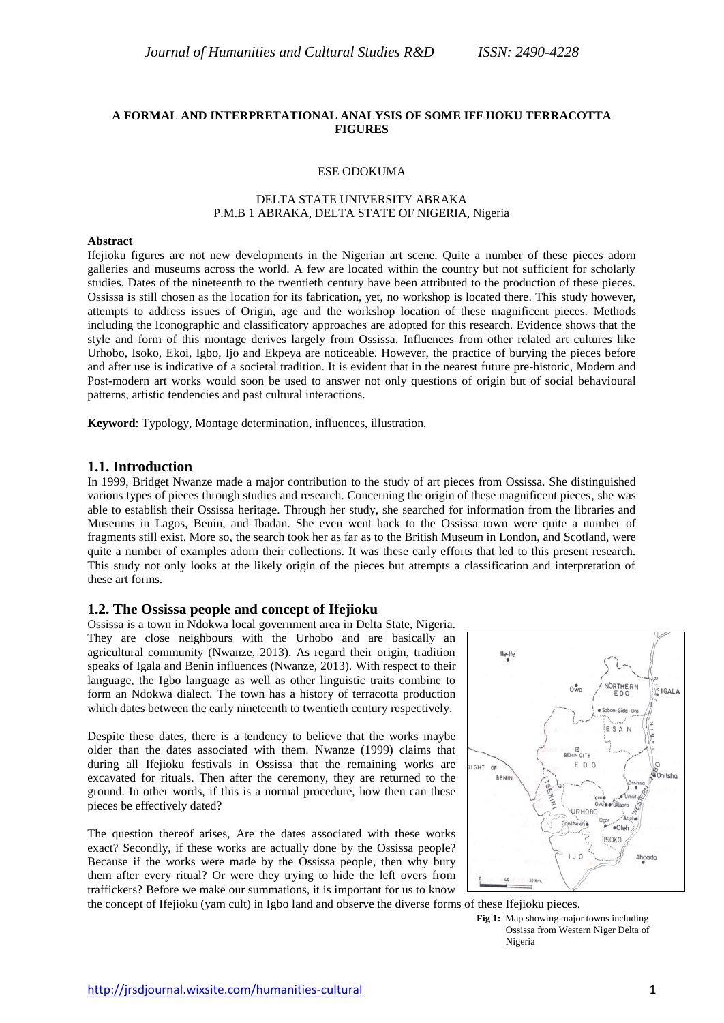## **A FORMAL AND INTERPRETATIONAL ANALYSIS OF SOME IFEJIOKU TERRACOTTA FIGURES**

#### ESE ODOKUMA

## DELTA STATE UNIVERSITY ABRAKA P.M.B 1 ABRAKA, DELTA STATE OF NIGERIA, Nigeria

#### **Abstract**

Ifejioku figures are not new developments in the Nigerian art scene. Quite a number of these pieces adorn galleries and museums across the world. A few are located within the country but not sufficient for scholarly studies. Dates of the nineteenth to the twentieth century have been attributed to the production of these pieces. Ossissa is still chosen as the location for its fabrication, yet, no workshop is located there. This study however, attempts to address issues of Origin, age and the workshop location of these magnificent pieces. Methods including the Iconographic and classificatory approaches are adopted for this research. Evidence shows that the style and form of this montage derives largely from Ossissa. Influences from other related art cultures like Urhobo, Isoko, Ekoi, Igbo, Ijo and Ekpeya are noticeable. However, the practice of burying the pieces before and after use is indicative of a societal tradition. It is evident that in the nearest future pre-historic, Modern and Post-modern art works would soon be used to answer not only questions of origin but of social behavioural patterns, artistic tendencies and past cultural interactions.

**Keyword**: Typology, Montage determination, influences, illustration.

#### **1.1. Introduction**

In 1999, Bridget Nwanze made a major contribution to the study of art pieces from Ossissa. She distinguished various types of pieces through studies and research. Concerning the origin of these magnificent pieces, she was able to establish their Ossissa heritage. Through her study, she searched for information from the libraries and Museums in Lagos, Benin, and Ibadan. She even went back to the Ossissa town were quite a number of fragments still exist. More so, the search took her as far as to the British Museum in London, and Scotland, were quite a number of examples adorn their collections. It was these early efforts that led to this present research. This study not only looks at the likely origin of the pieces but attempts a classification and interpretation of these art forms.

### **1.2. The Ossissa people and concept of Ifejioku**

Ossissa is a town in Ndokwa local government area in Delta State, Nigeria. They are close neighbours with the Urhobo and are basically an agricultural community (Nwanze, 2013). As regard their origin, tradition speaks of Igala and Benin influences (Nwanze, 2013). With respect to their language, the Igbo language as well as other linguistic traits combine to form an Ndokwa dialect. The town has a history of terracotta production which dates between the early nineteenth to twentieth century respectively.

Despite these dates, there is a tendency to believe that the works maybe older than the dates associated with them. Nwanze (1999) claims that during all Ifejioku festivals in Ossissa that the remaining works are excavated for rituals. Then after the ceremony, they are returned to the ground. In other words, if this is a normal procedure, how then can these pieces be effectively dated?

The question thereof arises, Are the dates associated with these works exact? Secondly, if these works are actually done by the Ossissa people? Because if the works were made by the Ossissa people, then why bury them after every ritual? Or were they trying to hide the left overs from traffickers? Before we make our summations, it is important for us to know



the concept of Ifejioku (yam cult) in Igbo land and observe the diverse forms of these Ifejioku pieces.

**Fig 1:** Map showing major towns including Ossissa from Western Niger Delta of Nigeria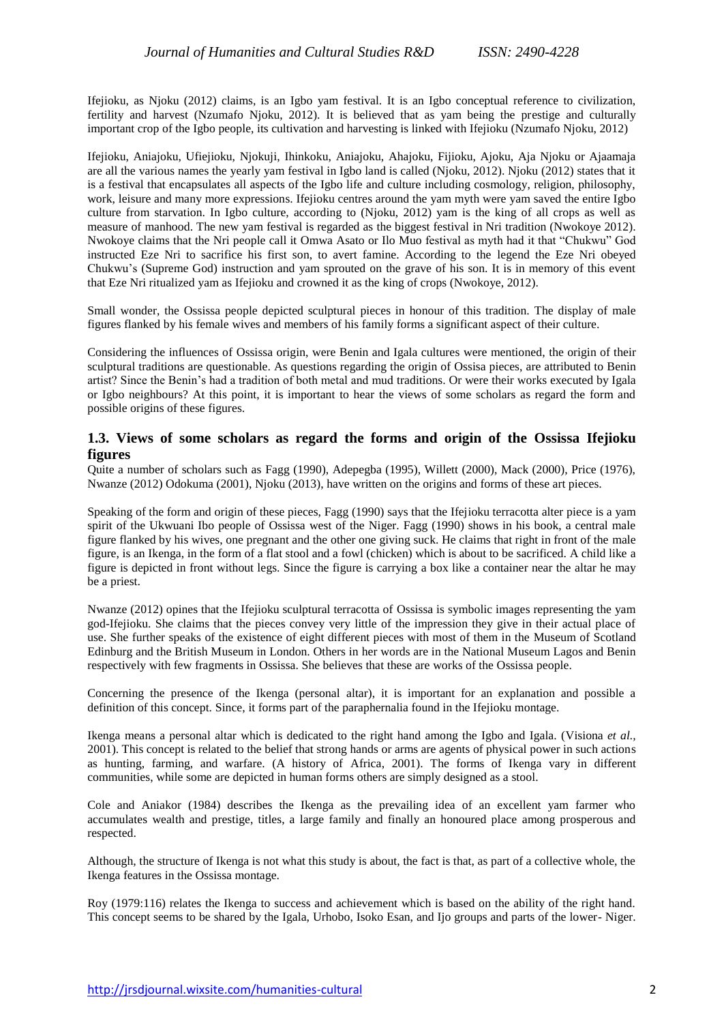Ifejioku, as Njoku (2012) claims, is an Igbo yam festival. It is an Igbo conceptual reference to civilization, fertility and harvest (Nzumafo Njoku, 2012). It is believed that as yam being the prestige and culturally important crop of the Igbo people, its cultivation and harvesting is linked with Ifejioku (Nzumafo Njoku, 2012)

Ifejioku, Aniajoku, Ufiejioku, Njokuji, Ihinkoku, Aniajoku, Ahajoku, Fijioku, Ajoku, Aja Njoku or Ajaamaja are all the various names the yearly yam festival in Igbo land is called (Njoku, 2012). Njoku (2012) states that it is a festival that encapsulates all aspects of the Igbo life and culture including cosmology, religion, philosophy, work, leisure and many more expressions. Ifejioku centres around the yam myth were yam saved the entire Igbo culture from starvation. In Igbo culture, according to (Njoku, 2012) yam is the king of all crops as well as measure of manhood. The new yam festival is regarded as the biggest festival in Nri tradition (Nwokoye 2012). Nwokoye claims that the Nri people call it Omwa Asato or Ilo Muo festival as myth had it that "Chukwu" God instructed Eze Nri to sacrifice his first son, to avert famine. According to the legend the Eze Nri obeyed Chukwu's (Supreme God) instruction and yam sprouted on the grave of his son. It is in memory of this event that Eze Nri ritualized yam as Ifejioku and crowned it as the king of crops (Nwokoye, 2012).

Small wonder, the Ossissa people depicted sculptural pieces in honour of this tradition. The display of male figures flanked by his female wives and members of his family forms a significant aspect of their culture.

Considering the influences of Ossissa origin, were Benin and Igala cultures were mentioned, the origin of their sculptural traditions are questionable. As questions regarding the origin of Ossisa pieces, are attributed to Benin artist? Since the Benin's had a tradition of both metal and mud traditions. Or were their works executed by Igala or Igbo neighbours? At this point, it is important to hear the views of some scholars as regard the form and possible origins of these figures.

# **1.3. Views of some scholars as regard the forms and origin of the Ossissa Ifejioku figures**

Quite a number of scholars such as Fagg (1990), Adepegba (1995), Willett (2000), Mack (2000), Price (1976), Nwanze (2012) Odokuma (2001), Njoku (2013), have written on the origins and forms of these art pieces.

Speaking of the form and origin of these pieces, Fagg (1990) says that the Ifejioku terracotta alter piece is a yam spirit of the Ukwuani Ibo people of Ossissa west of the Niger. Fagg (1990) shows in his book, a central male figure flanked by his wives, one pregnant and the other one giving suck. He claims that right in front of the male figure, is an Ikenga, in the form of a flat stool and a fowl (chicken) which is about to be sacrificed. A child like a figure is depicted in front without legs. Since the figure is carrying a box like a container near the altar he may be a priest.

Nwanze (2012) opines that the Ifejioku sculptural terracotta of Ossissa is symbolic images representing the yam god-Ifejioku. She claims that the pieces convey very little of the impression they give in their actual place of use. She further speaks of the existence of eight different pieces with most of them in the Museum of Scotland Edinburg and the British Museum in London. Others in her words are in the National Museum Lagos and Benin respectively with few fragments in Ossissa. She believes that these are works of the Ossissa people.

Concerning the presence of the Ikenga (personal altar), it is important for an explanation and possible a definition of this concept. Since, it forms part of the paraphernalia found in the Ifejioku montage.

Ikenga means a personal altar which is dedicated to the right hand among the Igbo and Igala. (Visiona *et al.,* 2001). This concept is related to the belief that strong hands or arms are agents of physical power in such actions as hunting, farming, and warfare. (A history of Africa, 2001). The forms of Ikenga vary in different communities, while some are depicted in human forms others are simply designed as a stool.

Cole and Aniakor (1984) describes the Ikenga as the prevailing idea of an excellent yam farmer who accumulates wealth and prestige, titles, a large family and finally an honoured place among prosperous and respected.

Although, the structure of Ikenga is not what this study is about, the fact is that, as part of a collective whole, the Ikenga features in the Ossissa montage.

Roy (1979:116) relates the Ikenga to success and achievement which is based on the ability of the right hand. This concept seems to be shared by the Igala, Urhobo, Isoko Esan, and Ijo groups and parts of the lower- Niger.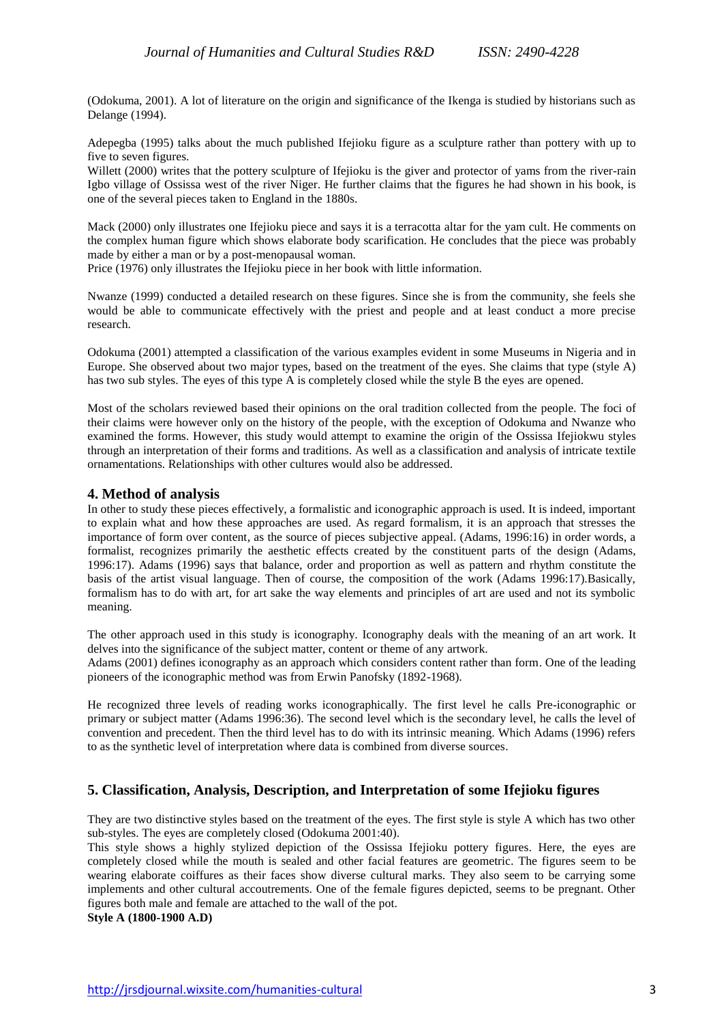(Odokuma, 2001). A lot of literature on the origin and significance of the Ikenga is studied by historians such as Delange (1994).

Adepegba (1995) talks about the much published Ifejioku figure as a sculpture rather than pottery with up to five to seven figures.

Willett (2000) writes that the pottery sculpture of Ifejioku is the giver and protector of yams from the river-rain Igbo village of Ossissa west of the river Niger. He further claims that the figures he had shown in his book, is one of the several pieces taken to England in the 1880s.

Mack (2000) only illustrates one Ifejioku piece and says it is a terracotta altar for the yam cult. He comments on the complex human figure which shows elaborate body scarification. He concludes that the piece was probably made by either a man or by a post-menopausal woman.

Price (1976) only illustrates the Ifejioku piece in her book with little information.

Nwanze (1999) conducted a detailed research on these figures. Since she is from the community, she feels she would be able to communicate effectively with the priest and people and at least conduct a more precise research.

Odokuma (2001) attempted a classification of the various examples evident in some Museums in Nigeria and in Europe. She observed about two major types, based on the treatment of the eyes. She claims that type (style A) has two sub styles. The eyes of this type A is completely closed while the style B the eyes are opened.

Most of the scholars reviewed based their opinions on the oral tradition collected from the people. The foci of their claims were however only on the history of the people, with the exception of Odokuma and Nwanze who examined the forms. However, this study would attempt to examine the origin of the Ossissa Ifejiokwu styles through an interpretation of their forms and traditions. As well as a classification and analysis of intricate textile ornamentations. Relationships with other cultures would also be addressed.

## **4. Method of analysis**

In other to study these pieces effectively, a formalistic and iconographic approach is used. It is indeed, important to explain what and how these approaches are used. As regard formalism, it is an approach that stresses the importance of form over content, as the source of pieces subjective appeal. (Adams, 1996:16) in order words, a formalist, recognizes primarily the aesthetic effects created by the constituent parts of the design (Adams, 1996:17). Adams (1996) says that balance, order and proportion as well as pattern and rhythm constitute the basis of the artist visual language. Then of course, the composition of the work (Adams 1996:17).Basically, formalism has to do with art, for art sake the way elements and principles of art are used and not its symbolic meaning.

The other approach used in this study is iconography. Iconography deals with the meaning of an art work. It delves into the significance of the subject matter, content or theme of any artwork.

Adams (2001) defines iconography as an approach which considers content rather than form. One of the leading pioneers of the iconographic method was from Erwin Panofsky (1892-1968).

He recognized three levels of reading works iconographically. The first level he calls Pre-iconographic or primary or subject matter (Adams 1996:36). The second level which is the secondary level, he calls the level of convention and precedent. Then the third level has to do with its intrinsic meaning. Which Adams (1996) refers to as the synthetic level of interpretation where data is combined from diverse sources.

## **5. Classification, Analysis, Description, and Interpretation of some Ifejioku figures**

They are two distinctive styles based on the treatment of the eyes. The first style is style A which has two other sub-styles. The eyes are completely closed (Odokuma 2001:40).

This style shows a highly stylized depiction of the Ossissa Ifejioku pottery figures. Here, the eyes are completely closed while the mouth is sealed and other facial features are geometric. The figures seem to be wearing elaborate coiffures as their faces show diverse cultural marks. They also seem to be carrying some implements and other cultural accoutrements. One of the female figures depicted, seems to be pregnant. Other figures both male and female are attached to the wall of the pot. **Style A (1800-1900 A.D)**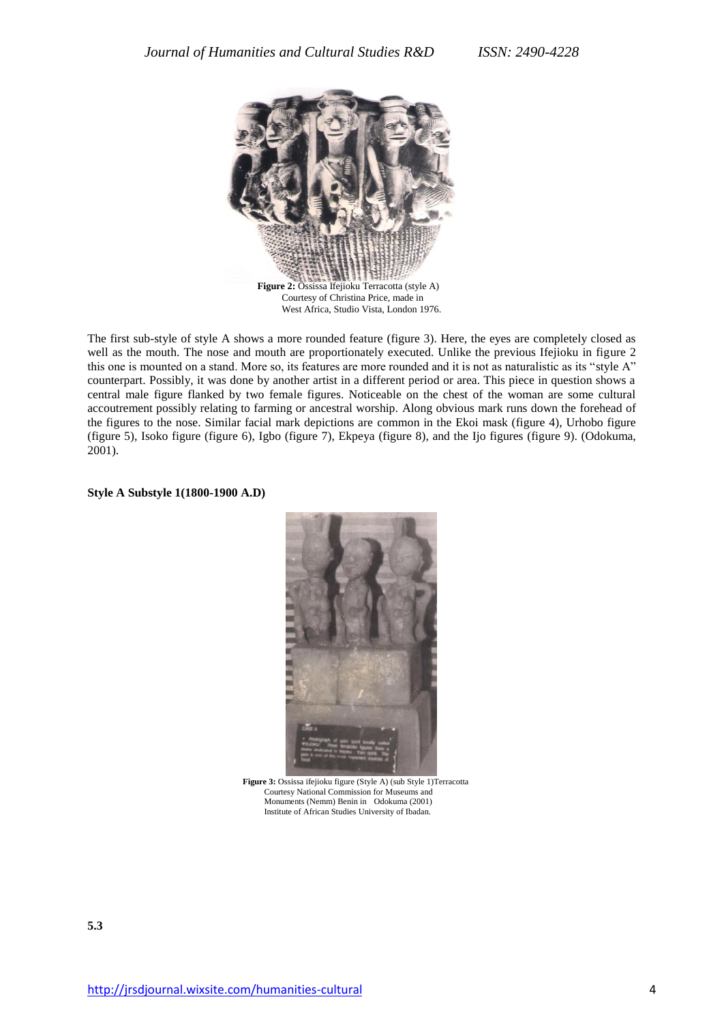

The first sub-style of style A shows a more rounded feature (figure 3). Here, the eyes are completely closed as well as the mouth. The nose and mouth are proportionately executed. Unlike the previous Ifejioku in figure 2 this one is mounted on a stand. More so, its features are more rounded and it is not as naturalistic as its "style A" counterpart. Possibly, it was done by another artist in a different period or area. This piece in question shows a central male figure flanked by two female figures. Noticeable on the chest of the woman are some cultural accoutrement possibly relating to farming or ancestral worship. Along obvious mark runs down the forehead of the figures to the nose. Similar facial mark depictions are common in the Ekoi mask (figure 4), Urhobo figure (figure 5), Isoko figure (figure 6), Igbo (figure 7), Ekpeya (figure 8), and the Ijo figures (figure 9). (Odokuma, 2001).

#### **Style A Substyle 1(1800-1900 A.D)**



**Figure 3:** Ossissa ifejioku figure (Style A) (sub Style 1)Terracotta Courtesy National Commission for Museums and Monuments (Nemm) Benin in Odokuma (2001) Institute of African Studies University of Ibadan.

**5.3**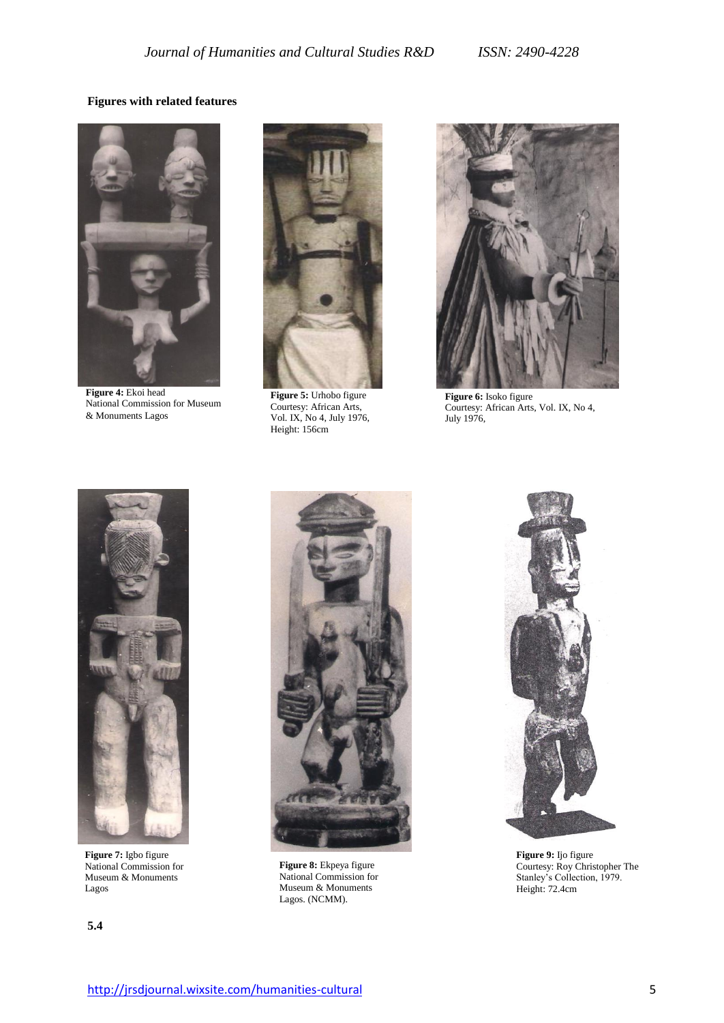# **Figures with related features**



**Figure 4:** Ekoi head National Commission for Museum & Monuments Lagos



**Figure 5:** Urhobo figure Courtesy: African Arts, Vol. IX, No 4, July 1976, Height: 156cm



**Figure 6:** Isoko figure Courtesy: African Arts, Vol. IX, No 4, July 1976,



**Figure 7:** Igbo figure National Commission for Museum & Monuments Lagos





**Figure 8:** Ekpeya figure National Commission for Museum & Monuments Lagos. (NCMM).



**Figure 9:** Ijo figure Courtesy: Roy Christopher The Stanley's Collection, 1979. Height: 72.4cm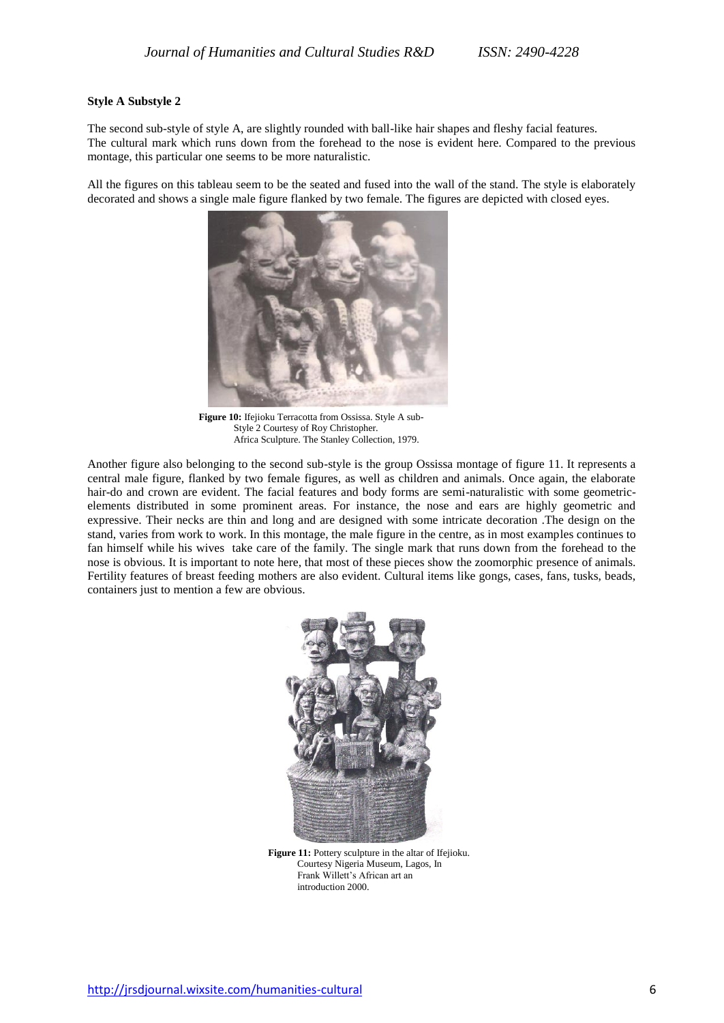### **Style A Substyle 2**

The second sub-style of style A, are slightly rounded with ball-like hair shapes and fleshy facial features. The cultural mark which runs down from the forehead to the nose is evident here. Compared to the previous montage, this particular one seems to be more naturalistic.

All the figures on this tableau seem to be the seated and fused into the wall of the stand. The style is elaborately decorated and shows a single male figure flanked by two female. The figures are depicted with closed eyes.



**Figure 10:** Ifejioku Terracotta from Ossissa. Style A sub- Style 2 Courtesy of Roy Christopher. Africa Sculpture. The Stanley Collection, 1979.

Another figure also belonging to the second sub-style is the group Ossissa montage of figure 11. It represents a central male figure, flanked by two female figures, as well as children and animals. Once again, the elaborate hair-do and crown are evident. The facial features and body forms are semi-naturalistic with some geometricelements distributed in some prominent areas. For instance, the nose and ears are highly geometric and expressive. Their necks are thin and long and are designed with some intricate decoration .The design on the stand, varies from work to work. In this montage, the male figure in the centre, as in most examples continues to fan himself while his wives take care of the family. The single mark that runs down from the forehead to the nose is obvious. It is important to note here, that most of these pieces show the zoomorphic presence of animals. Fertility features of breast feeding mothers are also evident. Cultural items like gongs, cases, fans, tusks, beads, containers just to mention a few are obvious.



**Figure 11:** Pottery sculpture in the altar of Ifejioku. Courtesy Nigeria Museum, Lagos, In Frank Willett's African art an introduction 2000.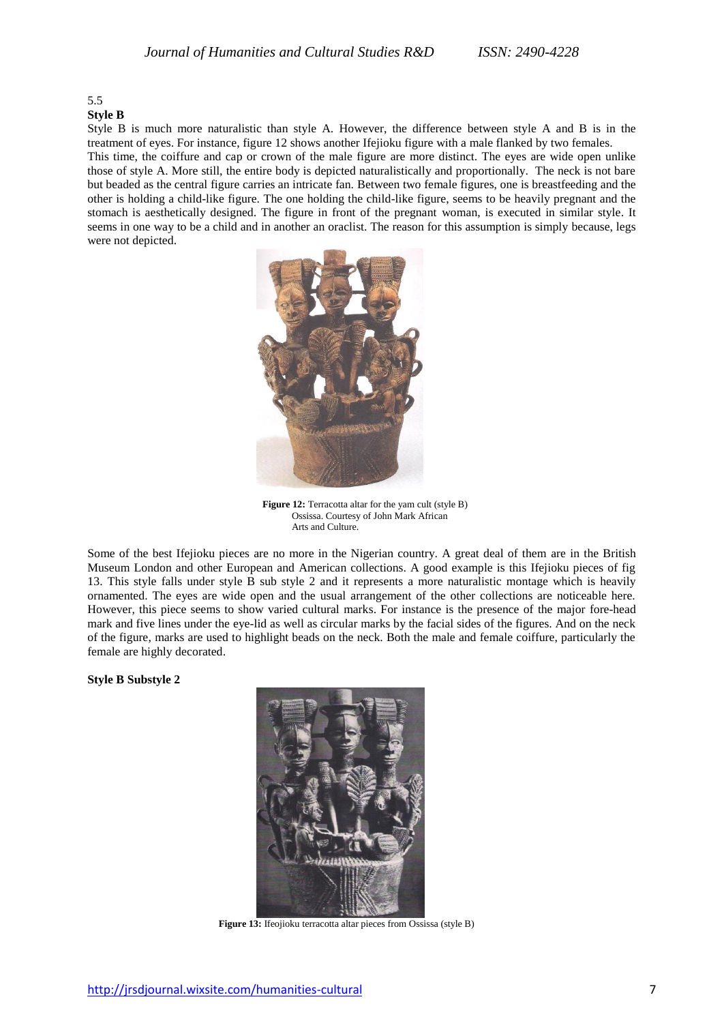# 5.5

**Style B**

Style B is much more naturalistic than style A. However, the difference between style A and B is in the treatment of eyes. For instance, figure 12 shows another Ifejioku figure with a male flanked by two females. This time, the coiffure and cap or crown of the male figure are more distinct. The eyes are wide open unlike those of style A. More still, the entire body is depicted naturalistically and proportionally. The neck is not bare but beaded as the central figure carries an intricate fan. Between two female figures, one is breastfeeding and the other is holding a child-like figure. The one holding the child-like figure, seems to be heavily pregnant and the stomach is aesthetically designed. The figure in front of the pregnant woman, is executed in similar style. It seems in one way to be a child and in another an oraclist. The reason for this assumption is simply because, legs were not depicted.



**Figure 12:** Terracotta altar for the yam cult (style B) Ossissa. Courtesy of John Mark African Arts and Culture.

Some of the best Ifejioku pieces are no more in the Nigerian country. A great deal of them are in the British Museum London and other European and American collections. A good example is this Ifejioku pieces of fig 13. This style falls under style B sub style 2 and it represents a more naturalistic montage which is heavily ornamented. The eyes are wide open and the usual arrangement of the other collections are noticeable here. However, this piece seems to show varied cultural marks. For instance is the presence of the major fore-head mark and five lines under the eye-lid as well as circular marks by the facial sides of the figures. And on the neck of the figure, marks are used to highlight beads on the neck. Both the male and female coiffure, particularly the female are highly decorated.

**Style B Substyle 2**



**Figure 13:** Ifeojioku terracotta altar pieces from Ossissa (style B)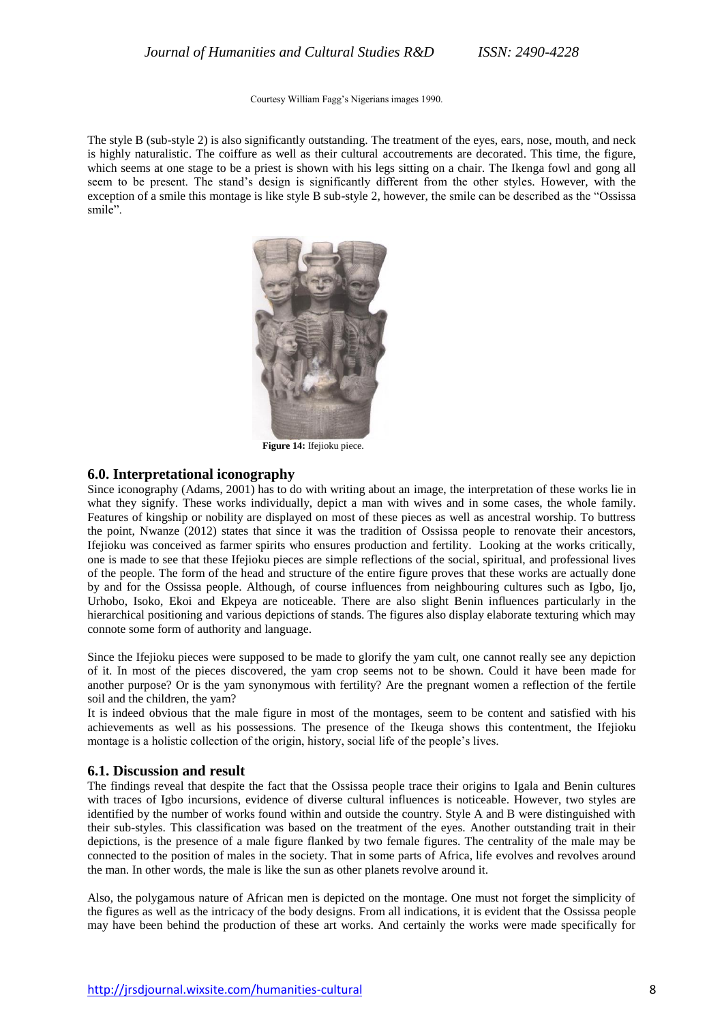Courtesy William Fagg's Nigerians images 1990.

The style B (sub-style 2) is also significantly outstanding. The treatment of the eyes, ears, nose, mouth, and neck is highly naturalistic. The coiffure as well as their cultural accoutrements are decorated. This time, the figure, which seems at one stage to be a priest is shown with his legs sitting on a chair. The Ikenga fowl and gong all seem to be present. The stand's design is significantly different from the other styles. However, with the exception of a smile this montage is like style B sub-style 2, however, the smile can be described as the "Ossissa smile".



**Figure 14:** Ifejioku piece.

## **6.0. Interpretational iconography**

Since iconography (Adams, 2001) has to do with writing about an image, the interpretation of these works lie in what they signify. These works individually, depict a man with wives and in some cases, the whole family. Features of kingship or nobility are displayed on most of these pieces as well as ancestral worship. To buttress the point, Nwanze (2012) states that since it was the tradition of Ossissa people to renovate their ancestors, Ifejioku was conceived as farmer spirits who ensures production and fertility. Looking at the works critically, one is made to see that these Ifejioku pieces are simple reflections of the social, spiritual, and professional lives of the people. The form of the head and structure of the entire figure proves that these works are actually done by and for the Ossissa people. Although, of course influences from neighbouring cultures such as Igbo, Ijo, Urhobo, Isoko, Ekoi and Ekpeya are noticeable. There are also slight Benin influences particularly in the hierarchical positioning and various depictions of stands. The figures also display elaborate texturing which may connote some form of authority and language.

Since the Ifejioku pieces were supposed to be made to glorify the yam cult, one cannot really see any depiction of it. In most of the pieces discovered, the yam crop seems not to be shown. Could it have been made for another purpose? Or is the yam synonymous with fertility? Are the pregnant women a reflection of the fertile soil and the children, the yam?

It is indeed obvious that the male figure in most of the montages, seem to be content and satisfied with his achievements as well as his possessions. The presence of the Ikeuga shows this contentment, the Ifejioku montage is a holistic collection of the origin, history, social life of the people's lives.

#### **6.1. Discussion and result**

The findings reveal that despite the fact that the Ossissa people trace their origins to Igala and Benin cultures with traces of Igbo incursions, evidence of diverse cultural influences is noticeable. However, two styles are identified by the number of works found within and outside the country. Style A and B were distinguished with their sub-styles. This classification was based on the treatment of the eyes. Another outstanding trait in their depictions, is the presence of a male figure flanked by two female figures. The centrality of the male may be connected to the position of males in the society. That in some parts of Africa, life evolves and revolves around the man. In other words, the male is like the sun as other planets revolve around it.

Also, the polygamous nature of African men is depicted on the montage. One must not forget the simplicity of the figures as well as the intricacy of the body designs. From all indications, it is evident that the Ossissa people may have been behind the production of these art works. And certainly the works were made specifically for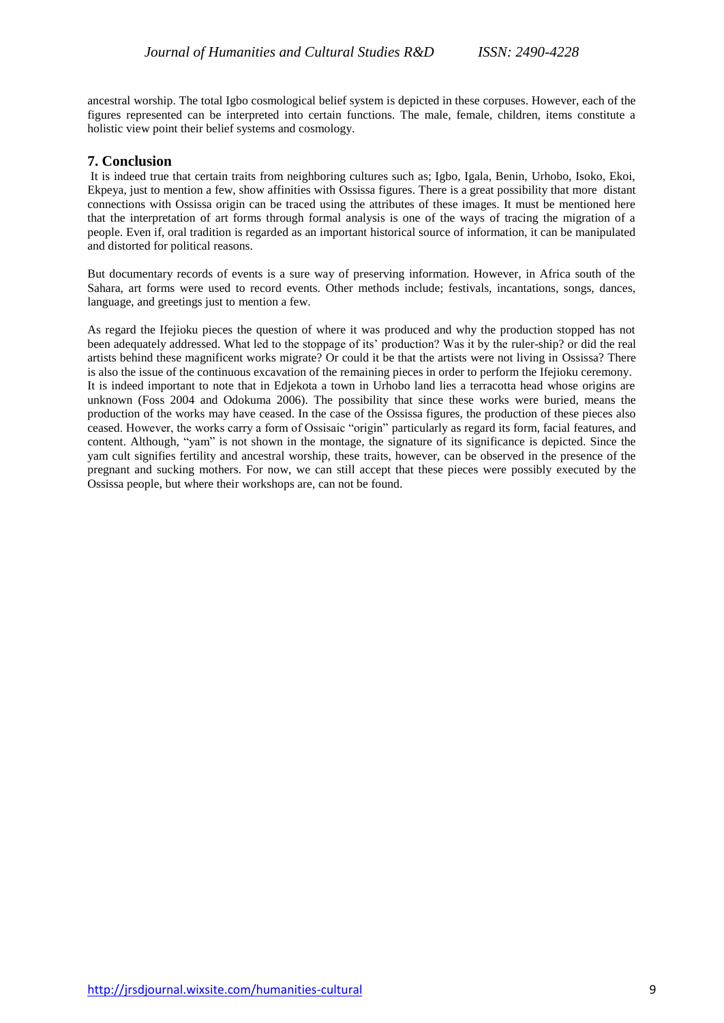ancestral worship. The total Igbo cosmological belief system is depicted in these corpuses. However, each of the figures represented can be interpreted into certain functions. The male, female, children, items constitute a holistic view point their belief systems and cosmology.

# **7. Conclusion**

It is indeed true that certain traits from neighboring cultures such as; Igbo, Igala, Benin, Urhobo, Isoko, Ekoi, Ekpeya, just to mention a few, show affinities with Ossissa figures. There is a great possibility that more distant connections with Ossissa origin can be traced using the attributes of these images. It must be mentioned here that the interpretation of art forms through formal analysis is one of the ways of tracing the migration of a people. Even if, oral tradition is regarded as an important historical source of information, it can be manipulated and distorted for political reasons.

But documentary records of events is a sure way of preserving information. However, in Africa south of the Sahara, art forms were used to record events. Other methods include; festivals, incantations, songs, dances, language, and greetings just to mention a few.

As regard the Ifejioku pieces the question of where it was produced and why the production stopped has not been adequately addressed. What led to the stoppage of its' production? Was it by the ruler-ship? or did the real artists behind these magnificent works migrate? Or could it be that the artists were not living in Ossissa? There is also the issue of the continuous excavation of the remaining pieces in order to perform the Ifejioku ceremony. It is indeed important to note that in Edjekota a town in Urhobo land lies a terracotta head whose origins are unknown (Foss 2004 and Odokuma 2006). The possibility that since these works were buried, means the production of the works may have ceased. In the case of the Ossissa figures, the production of these pieces also ceased. However, the works carry a form of Ossisaic "origin" particularly as regard its form, facial features, and content. Although, "yam" is not shown in the montage, the signature of its significance is depicted. Since the yam cult signifies fertility and ancestral worship, these traits, however, can be observed in the presence of the pregnant and sucking mothers. For now, we can still accept that these pieces were possibly executed by the Ossissa people, but where their workshops are, can not be found.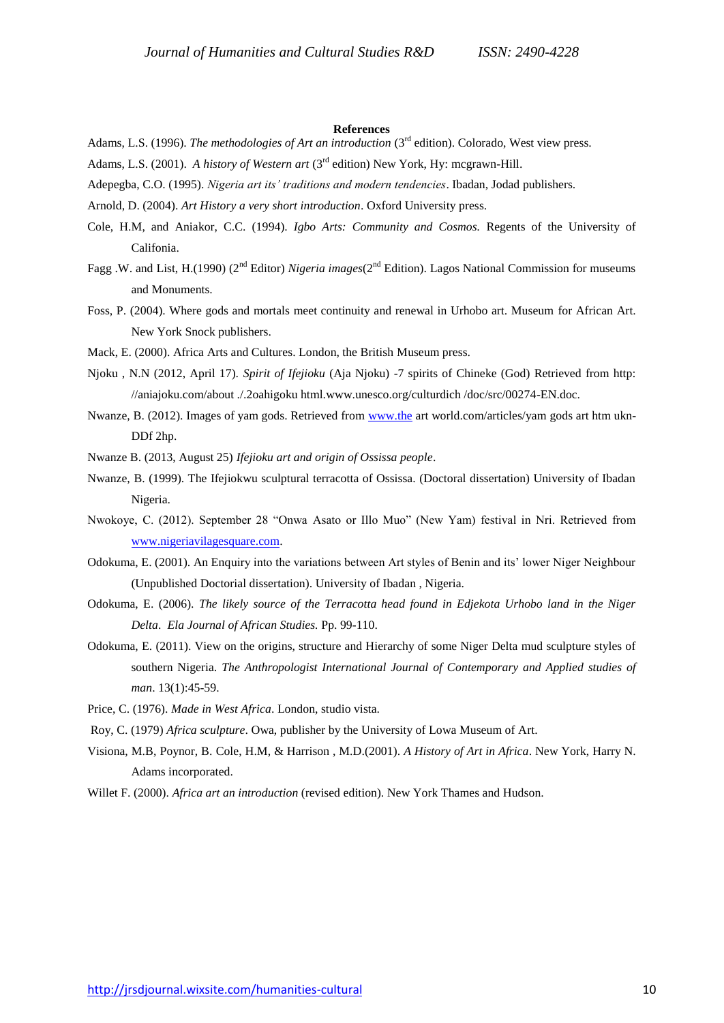#### **References**

- Adams, L.S. (1996). *The methodologies of Art an introduction* (3<sup>rd</sup> edition). Colorado, West view press.
- Adams, L.S. (2001). *A history of Western art* (3rd edition) New York, Hy: mcgrawn-Hill.
- Adepegba, C.O. (1995). *Nigeria art its' traditions and modern tendencies*. Ibadan, Jodad publishers.
- Arnold, D. (2004). *Art History a very short introduction*. Oxford University press.
- Cole, H.M, and Aniakor, C.C. (1994). *Igbo Arts: Community and Cosmos.* Regents of the University of Califonia.
- Fagg .W. and List, H.(1990) (2nd Editor) *Nigeria images*(2nd Edition). Lagos National Commission for museums and Monuments.
- Foss, P. (2004). Where gods and mortals meet continuity and renewal in Urhobo art. Museum for African Art. New York Snock publishers.
- Mack, E. (2000). Africa Arts and Cultures. London, the British Museum press.
- Njoku , N.N (2012, April 17). *Spirit of Ifejioku* (Aja Njoku) -7 spirits of Chineke (God) Retrieved from http: //aniajoku.com/about ./.2oahigoku html.www.unesco.org/culturdich /doc/src/00274-EN.doc.
- Nwanze, B. (2012). Images of yam gods. Retrieved from [www.the](http://www.the/) art world.com/articles/yam gods art htm ukn-DDf 2hp.
- Nwanze B. (2013, August 25) *Ifejioku art and origin of Ossissa people*.
- Nwanze, B. (1999). The Ifejiokwu sculptural terracotta of Ossissa. (Doctoral dissertation) University of Ibadan Nigeria.
- Nwokoye, C. (2012). September 28 "Onwa Asato or Illo Muo" (New Yam) festival in Nri. Retrieved from [www.nigeriavilagesquare.com.](http://www.nigeriavilagesquare.com/)
- Odokuma, E. (2001). An Enquiry into the variations between Art styles of Benin and its' lower Niger Neighbour (Unpublished Doctorial dissertation). University of Ibadan , Nigeria.
- Odokuma, E. (2006). *The likely source of the Terracotta head found in Edjekota Urhobo land in the Niger Delta*. *Ela Journal of African Studies.* Pp. 99-110.
- Odokuma, E. (2011). View on the origins, structure and Hierarchy of some Niger Delta mud sculpture styles of southern Nigeria. *The Anthropologist International Journal of Contemporary and Applied studies of man*. 13(1):45-59.
- Price, C. (1976). *Made in West Africa*. London, studio vista.
- Roy, C. (1979) *Africa sculpture*. Owa, publisher by the University of Lowa Museum of Art.
- Visiona, M.B, Poynor, B. Cole, H.M, & Harrison , M.D.(2001). *A History of Art in Africa*. New York, Harry N. Adams incorporated.
- Willet F. (2000). *Africa art an introduction* (revised edition). New York Thames and Hudson.